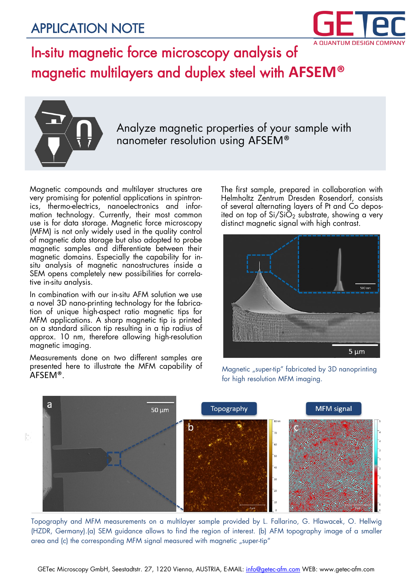#### APPLICATION NOTE



#### In-situ magnetic force microscopy analysis of magnetic multilayers and duplex steel with **AFSEM®**



Analyze magnetic properties of your sample with nanometer resolution using AFSEM®

Magnetic compounds and multilayer structures are very promising for potential applications in spintronics, thermo-electrics, nanoelectronics and information technology. Currently, their most common use is for data storage. Magnetic force microscopy (MFM) is not only widely used in the quality control of magnetic data storage but also adopted to probe magnetic samples and differentiate between their magnetic domains. Especially the capability for insitu analysis of magnetic nanostructures inside a SEM opens completely new possibilities for correlative in-situ analysis.

In combination with our in-situ AFM solution we use a novel 3D nano-printing technology for the fabrication of unique high-aspect ratio magnetic tips for MFM applications. A sharp magnetic tip is printed on a standard silicon tip resulting in a tip radius of approx. 10 nm, therefore allowing high-resolution magnetic imaging.

Measurements done on two different samples are presented here to illustrate the MFM capability of AFSEM®.

The first sample, prepared in collaboration with Helmholtz Zentrum Dresden Rosendorf, consists of several alternating layers of Pt and Co deposited on top of  $Si/Si\ddot{O}_2$  substrate, showing a very distinct magnetic signal with high contrast.



Magnetic "super-tip" fabricated by 3D nanoprinting for high resolution MFM imaging.



Topography and MFM measurements on a multilayer sample provided by L. Fallarino, G. Hlawacek, O. Hellwig (HZDR, Germany).(a) SEM guidance allows to find the region of interest. (b) AFM topography image of a smaller area and (c) the corresponding MFM signal measured with magnetic "super-tip"